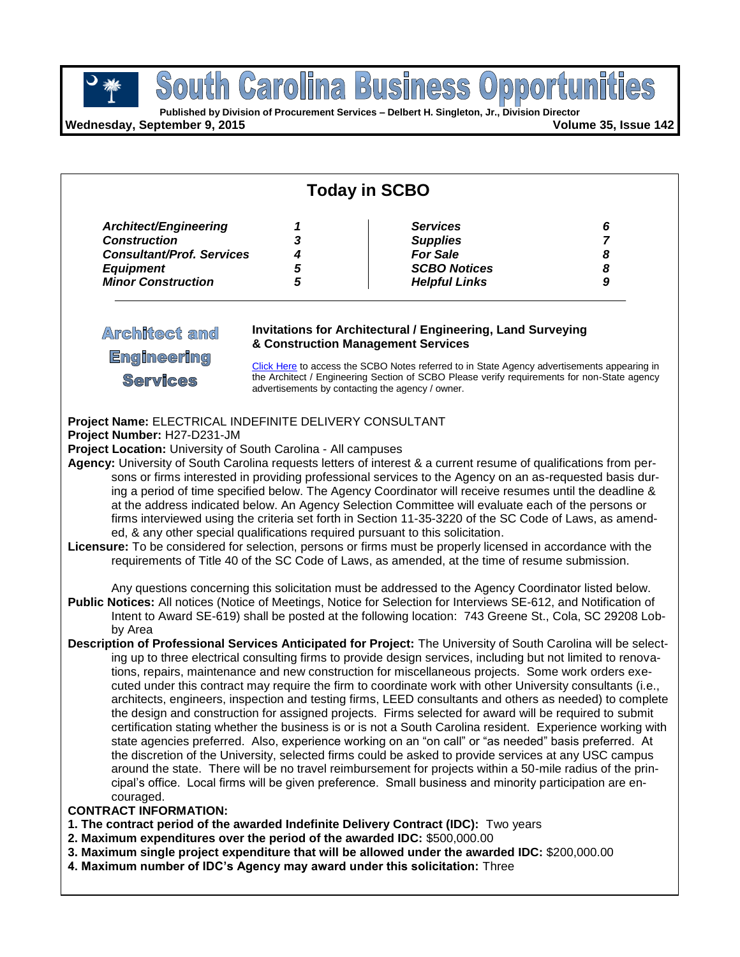**South Carolina Business Opportunities** 

**Wednesday, September 9, 2015 Volume 35, Issue 142**

| <b>Today in SCBO</b>                                                                                                                                    |  |                                                                                                                                                                                                                                                                                                                                                                                                                                                                                                                                                                                                                                                                                                                                                                                                                                                                                                                                                                                                                                                                                                                                                                                                                                 |  |  |
|---------------------------------------------------------------------------------------------------------------------------------------------------------|--|---------------------------------------------------------------------------------------------------------------------------------------------------------------------------------------------------------------------------------------------------------------------------------------------------------------------------------------------------------------------------------------------------------------------------------------------------------------------------------------------------------------------------------------------------------------------------------------------------------------------------------------------------------------------------------------------------------------------------------------------------------------------------------------------------------------------------------------------------------------------------------------------------------------------------------------------------------------------------------------------------------------------------------------------------------------------------------------------------------------------------------------------------------------------------------------------------------------------------------|--|--|
|                                                                                                                                                         |  |                                                                                                                                                                                                                                                                                                                                                                                                                                                                                                                                                                                                                                                                                                                                                                                                                                                                                                                                                                                                                                                                                                                                                                                                                                 |  |  |
| <b>Architect and</b><br><b>Engineering</b><br><b>Services</b>                                                                                           |  | <b>Invitations for Architectural / Engineering, Land Surveying</b><br>& Construction Management Services<br>Click Here to access the SCBO Notes referred to in State Agency advertisements appearing in<br>the Architect / Engineering Section of SCBO Please verify requirements for non-State agency<br>advertisements by contacting the agency / owner.                                                                                                                                                                                                                                                                                                                                                                                                                                                                                                                                                                                                                                                                                                                                                                                                                                                                      |  |  |
| Project Name: ELECTRICAL INDEFINITE DELIVERY CONSULTANT<br>Project Number: H27-D231-JM<br>Project Location: University of South Carolina - All campuses |  | Agency: University of South Carolina requests letters of interest & a current resume of qualifications from per-<br>sons or firms interested in providing professional services to the Agency on an as-requested basis dur-<br>ing a period of time specified below. The Agency Coordinator will receive resumes until the deadline &<br>at the address indicated below. An Agency Selection Committee will evaluate each of the persons or<br>firms interviewed using the criteria set forth in Section 11-35-3220 of the SC Code of Laws, as amend-<br>ed, & any other special qualifications required pursuant to this solicitation.<br>Licensure: To be considered for selection, persons or firms must be properly licensed in accordance with the<br>requirements of Title 40 of the SC Code of Laws, as amended, at the time of resume submission.                                                                                                                                                                                                                                                                                                                                                                       |  |  |
|                                                                                                                                                         |  | Any questions concerning this solicitation must be addressed to the Agency Coordinator listed below.<br>Public Notices: All notices (Notice of Meetings, Notice for Selection for Interviews SE-612, and Notification of<br>Intent to Award SE-619) shall be posted at the following location: 743 Greene St., Cola, SC 29208 Lob-                                                                                                                                                                                                                                                                                                                                                                                                                                                                                                                                                                                                                                                                                                                                                                                                                                                                                              |  |  |
| by Area<br>couraged.<br><b>CONTRACT INFORMATION:</b>                                                                                                    |  | Description of Professional Services Anticipated for Project: The University of South Carolina will be select-<br>ing up to three electrical consulting firms to provide design services, including but not limited to renova-<br>tions, repairs, maintenance and new construction for miscellaneous projects. Some work orders exe-<br>cuted under this contract may require the firm to coordinate work with other University consultants (i.e.,<br>architects, engineers, inspection and testing firms, LEED consultants and others as needed) to complete<br>the design and construction for assigned projects. Firms selected for award will be required to submit<br>certification stating whether the business is or is not a South Carolina resident. Experience working with<br>state agencies preferred. Also, experience working on an "on call" or "as needed" basis preferred. At<br>the discretion of the University, selected firms could be asked to provide services at any USC campus<br>around the state. There will be no travel reimbursement for projects within a 50-mile radius of the prin-<br>cipal's office. Local firms will be given preference. Small business and minority participation are en- |  |  |

- **1. The contract period of the awarded Indefinite Delivery Contract (IDC):** Two years
- **2. Maximum expenditures over the period of the awarded IDC:** \$500,000.00
- **3. Maximum single project expenditure that will be allowed under the awarded IDC:** \$200,000.00
- **4. Maximum number of IDC's Agency may award under this solicitation:** Three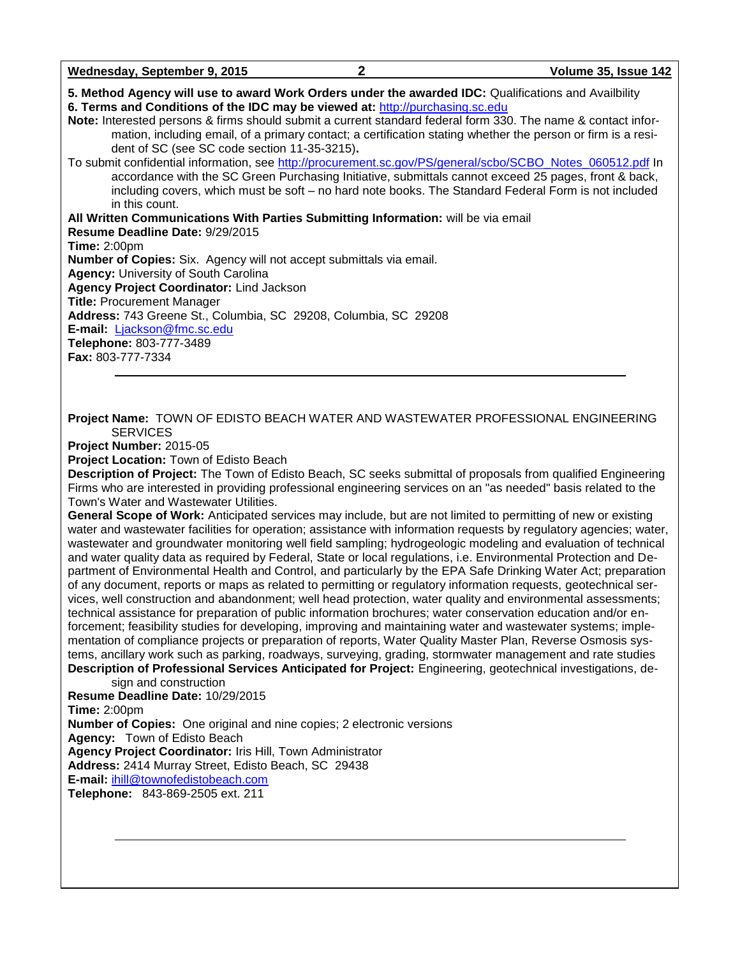| Wednesday, September 9, 2015 |  |
|------------------------------|--|
|------------------------------|--|

**5. Method Agency will use to award Work Orders under the awarded IDC:** Qualifications and Availbility

**6. Terms and Conditions of the IDC may be viewed at:** [http://purchasing.sc.edu](http://purchasing.sc.edu/) **Note:** Interested persons & firms should submit a current standard federal form 330. The name & contact information, including email, of a primary contact; a certification stating whether the person or firm is a resident of SC (see SC code section 11-35-3215)**.**

To submit confidential information, see [http://procurement.sc.gov/PS/general/scbo/SCBO\\_Notes\\_060512.pdf](http://procurement.sc.gov/PS/general/scbo/SCBO_Notes_060512.pdf) In accordance with the SC Green Purchasing Initiative, submittals cannot exceed 25 pages, front & back, including covers, which must be soft – no hard note books. The Standard Federal Form is not included in this count.

**All Written Communications With Parties Submitting Information:** will be via email **Resume Deadline Date:** 9/29/2015 **Time:** 2:00pm **Number of Copies:** Six. Agency will not accept submittals via email. **Agency:** University of South Carolina **Agency Project Coordinator:** Lind Jackson **Title:** Procurement Manager **Address:** 743 Greene St., Columbia, SC 29208, Columbia, SC 29208 **E-mail:** [Ljackson@fmc.sc.edu](mailto:Ljackson@fmc.sc.edu) **Telephone:** 803-777-3489 **Fax:** 803-777-7334

**Project Name:** TOWN OF EDISTO BEACH WATER AND WASTEWATER PROFESSIONAL ENGINEERING **SERVICES** 

**Project Number:** 2015-05

**Project Location:** Town of Edisto Beach

**Description of Project:** The Town of Edisto Beach, SC seeks submittal of proposals from qualified Engineering Firms who are interested in providing professional engineering services on an "as needed" basis related to the Town's Water and Wastewater Utilities.

**General Scope of Work:** Anticipated services may include, but are not limited to permitting of new or existing water and wastewater facilities for operation; assistance with information requests by regulatory agencies; water, wastewater and groundwater monitoring well field sampling; hydrogeologic modeling and evaluation of technical and water quality data as required by Federal, State or local regulations, i.e. Environmental Protection and Department of Environmental Health and Control, and particularly by the EPA Safe Drinking Water Act; preparation of any document, reports or maps as related to permitting or regulatory information requests, geotechnical services, well construction and abandonment; well head protection, water quality and environmental assessments; technical assistance for preparation of public information brochures; water conservation education and/or enforcement; feasibility studies for developing, improving and maintaining water and wastewater systems; implementation of compliance projects or preparation of reports, Water Quality Master Plan, Reverse Osmosis systems, ancillary work such as parking, roadways, surveying, grading, stormwater management and rate studies **Description of Professional Services Anticipated for Project:** Engineering, geotechnical investigations, de-

sign and construction **Resume Deadline Date:** 10/29/2015 **Time:** 2:00pm **Number of Copies:** One original and nine copies; 2 electronic versions **Agency:** Town of Edisto Beach **Agency Project Coordinator:** Iris Hill, Town Administrator **Address:** 2414 Murray Street, Edisto Beach, SC 29438 **E-mail:** [ihill@townofedistobeach.com](mailto:ihill@townofedistobeach.com) **Telephone:** 843-869-2505 ext. 211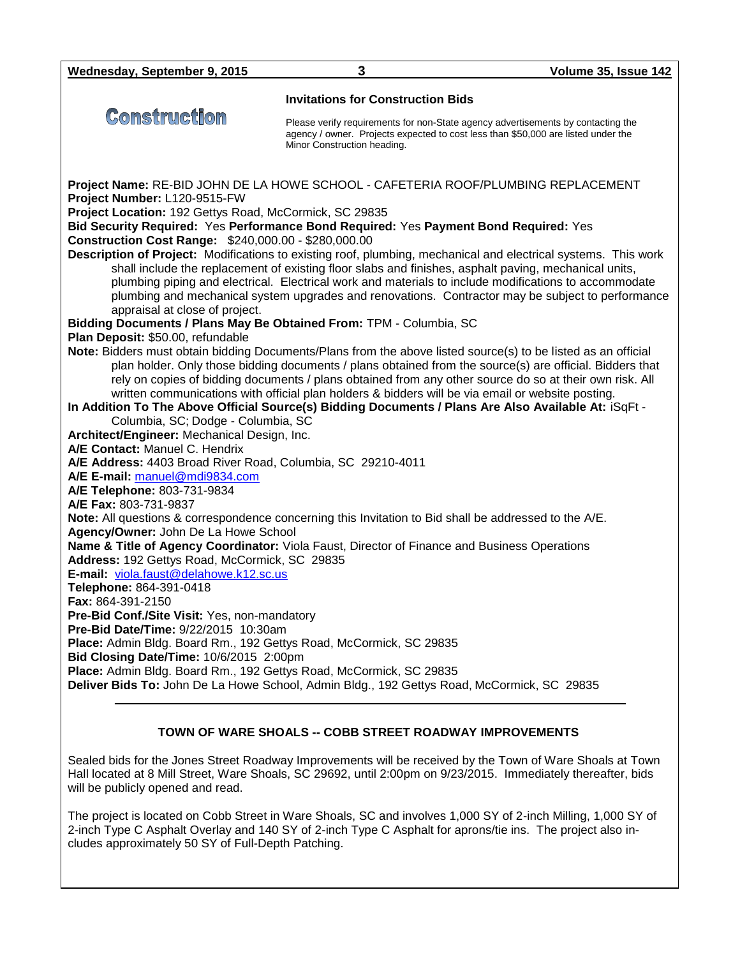**Wednesday, September 9, 2015 3 Volume 35, Issue 142**

Construction

**Invitations for Construction Bids**

Please verify requirements for non-State agency advertisements by contacting the agency / owner. Projects expected to cost less than \$50,000 are listed under the Minor Construction heading.

**Project Name:** RE-BID JOHN DE LA HOWE SCHOOL - CAFETERIA ROOF/PLUMBING REPLACEMENT **Project Number:** L120-9515-FW **Project Location:** 192 Gettys Road, McCormick, SC 29835 **Bid Security Required:** Yes **Performance Bond Required:** Yes **Payment Bond Required:** Yes **Construction Cost Range:** \$240,000.00 - \$280,000.00 **Description of Project:** Modifications to existing roof, plumbing, mechanical and electrical systems. This work shall include the replacement of existing floor slabs and finishes, asphalt paving, mechanical units, plumbing piping and electrical. Electrical work and materials to include modifications to accommodate plumbing and mechanical system upgrades and renovations. Contractor may be subject to performance appraisal at close of project. **Bidding Documents / Plans May Be Obtained From:** TPM - Columbia, SC **Plan Deposit:** \$50.00, refundable **Note:** Bidders must obtain bidding Documents/Plans from the above listed source(s) to be listed as an official plan holder. Only those bidding documents / plans obtained from the source(s) are official. Bidders that rely on copies of bidding documents / plans obtained from any other source do so at their own risk. All written communications with official plan holders & bidders will be via email or website posting. **In Addition To The Above Official Source(s) Bidding Documents / Plans Are Also Available At:** iSqFt - Columbia, SC; Dodge - Columbia, SC **Architect/Engineer:** Mechanical Design, Inc. **A/E Contact:** Manuel C. Hendrix **A/E Address:** 4403 Broad River Road, Columbia, SC 29210-4011 **A/E E-mail:** [manuel@mdi9834.com](mailto:manuel@mdi9834.com) **A/E Telephone:** 803-731-9834 **A/E Fax:** 803-731-9837 **Note:** All questions & correspondence concerning this Invitation to Bid shall be addressed to the A/E. **Agency/Owner:** John De La Howe School **Name & Title of Agency Coordinator:** Viola Faust, Director of Finance and Business Operations **Address:** 192 Gettys Road, McCormick, SC 29835 **E-mail:** [viola.faust@delahowe.k12.sc.us](mailto:viola.faust@delahowe.k12.sc.us) **Telephone:** 864-391-0418 **Fax:** 864-391-2150 **Pre-Bid Conf./Site Visit:** Yes, non-mandatory **Pre-Bid Date/Time:** 9/22/2015 10:30am **Place:** Admin Bldg. Board Rm., 192 Gettys Road, McCormick, SC 29835 **Bid Closing Date/Time:** 10/6/2015 2:00pm **Place:** Admin Bldg. Board Rm., 192 Gettys Road, McCormick, SC 29835 **Deliver Bids To:** John De La Howe School, Admin Bldg., 192 Gettys Road, McCormick, SC 29835

#### **TOWN OF WARE SHOALS -- COBB STREET ROADWAY IMPROVEMENTS**

Sealed bids for the Jones Street Roadway Improvements will be received by the Town of Ware Shoals at Town Hall located at 8 Mill Street, Ware Shoals, SC 29692, until 2:00pm on 9/23/2015. Immediately thereafter, bids will be publicly opened and read.

The project is located on Cobb Street in Ware Shoals, SC and involves 1,000 SY of 2-inch Milling, 1,000 SY of 2-inch Type C Asphalt Overlay and 140 SY of 2-inch Type C Asphalt for aprons/tie ins. The project also includes approximately 50 SY of Full-Depth Patching.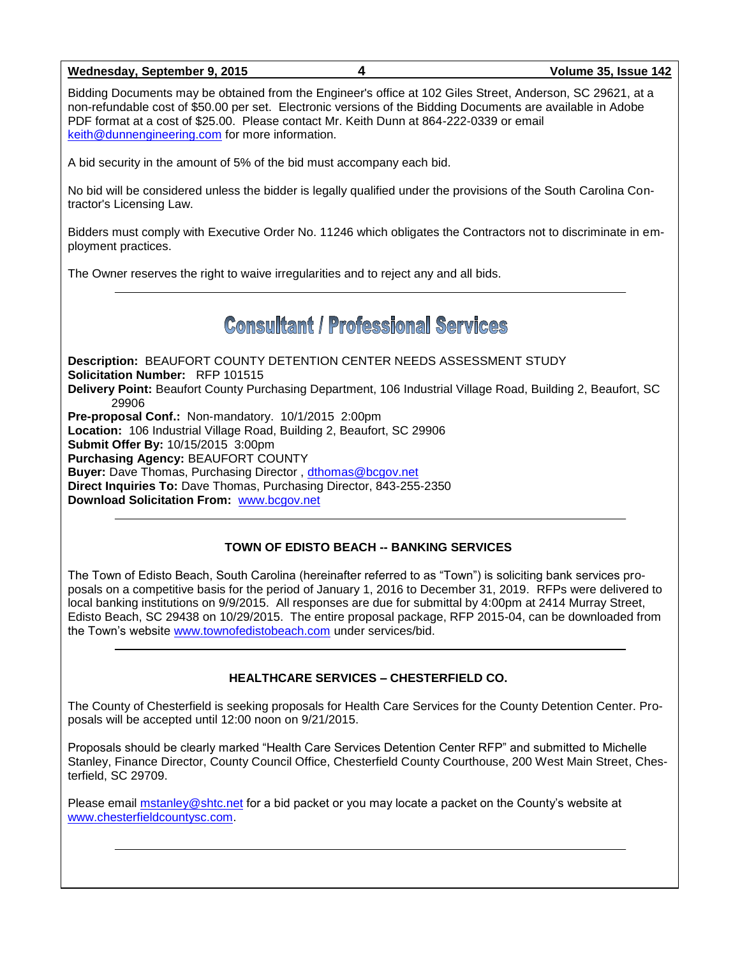#### **Wednesday, September 9, 2015 4 Volume 35, Issue 142**

Bidding Documents may be obtained from the Engineer's office at 102 Giles Street, Anderson, SC 29621, at a non-refundable cost of \$50.00 per set. Electronic versions of the Bidding Documents are available in Adobe PDF format at a cost of \$25.00. Please contact Mr. Keith Dunn at 864-222-0339 or email [keith@dunnengineering.com](mailto:keith@dunnengineering.com) for more information.

A bid security in the amount of 5% of the bid must accompany each bid.

No bid will be considered unless the bidder is legally qualified under the provisions of the South Carolina Contractor's Licensing Law.

Bidders must comply with Executive Order No. 11246 which obligates the Contractors not to discriminate in employment practices.

The Owner reserves the right to waive irregularities and to reject any and all bids.

# **Consultant / Professional Services**

**Description:** BEAUFORT COUNTY DETENTION CENTER NEEDS ASSESSMENT STUDY **Solicitation Number:** RFP 101515 **Delivery Point:** Beaufort County Purchasing Department, 106 Industrial Village Road, Building 2, Beaufort, SC 29906 **Pre-proposal Conf.:** Non-mandatory. 10/1/2015 2:00pm **Location:** 106 Industrial Village Road, Building 2, Beaufort, SC 29906 **Submit Offer By:** 10/15/2015 3:00pm **Purchasing Agency:** BEAUFORT COUNTY **Buyer:** Dave Thomas, Purchasing Director , [dthomas@bcgov.net](mailto:dthomas@bcgov.net) **Direct Inquiries To:** Dave Thomas, Purchasing Director, 843-255-2350 **Download Solicitation From:** [www.bcgov.net](http://www.bcgov.net/)

#### **TOWN OF EDISTO BEACH -- BANKING SERVICES**

The Town of Edisto Beach, South Carolina (hereinafter referred to as "Town") is soliciting bank services proposals on a competitive basis for the period of January 1, 2016 to December 31, 2019. RFPs were delivered to local banking institutions on 9/9/2015. All responses are due for submittal by 4:00pm at 2414 Murray Street, Edisto Beach, SC 29438 on 10/29/2015. The entire proposal package, RFP 2015-04, can be downloaded from the Town's website [www.townofedistobeach.com](http://www.townofedistobeach.com/) under services/bid.

#### **HEALTHCARE SERVICES – CHESTERFIELD CO.**

The County of Chesterfield is seeking proposals for Health Care Services for the County Detention Center. Proposals will be accepted until 12:00 noon on 9/21/2015.

Proposals should be clearly marked "Health Care Services Detention Center RFP" and submitted to Michelle Stanley, Finance Director, County Council Office, Chesterfield County Courthouse, 200 West Main Street, Chesterfield, SC 29709.

Please email [mstanley@shtc.net](mailto:mstanley@shtc.net) for a bid packet or you may locate a packet on the County's website at [www.chesterfieldcountysc.com.](http://www.chesterfieldcountysc.com/)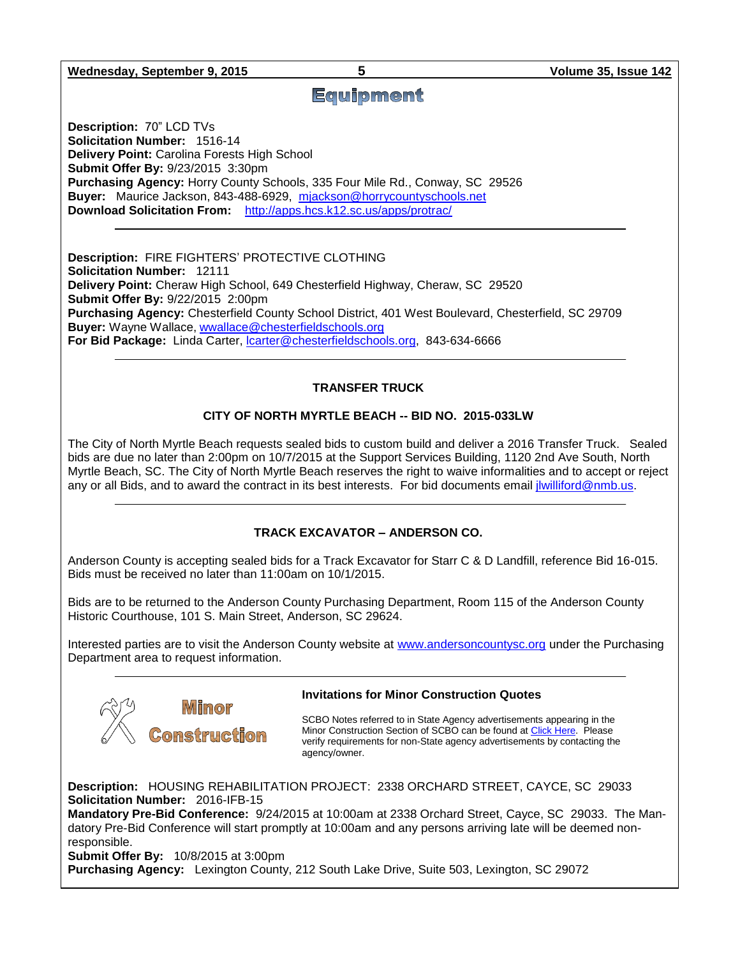**Wednesday, September 9, 2015 5 Volume 35, Issue 142**

# **Equipment**

**Description:** 70" LCD TVs **Solicitation Number:** 1516-14 **Delivery Point:** Carolina Forests High School **Submit Offer By:** 9/23/2015 3:30pm **Purchasing Agency:** Horry County Schools, 335 Four Mile Rd., Conway, SC 29526 **Buyer:** Maurice Jackson, 843-488-6929, [mjackson@horrycountyschools.net](mailto:mjackson@horrycountyschools.net) **Download Solicitation From:** <http://apps.hcs.k12.sc.us/apps/protrac/>

**Description:** FIRE FIGHTERS' PROTECTIVE CLOTHING **Solicitation Number:** 12111 **Delivery Point:** Cheraw High School, 649 Chesterfield Highway, Cheraw, SC 29520 **Submit Offer By:** 9/22/2015 2:00pm **Purchasing Agency:** Chesterfield County School District, 401 West Boulevard, Chesterfield, SC 29709 **Buyer:** Wayne Wallace, [wwallace@chesterfieldschools.org](mailto:wwallace@chesterfieldschools.org) **For Bid Package:** Linda Carter, [lcarter@chesterfieldschools.org,](mailto:lcarter@chesterfieldschools.org) 843-634-6666

#### **TRANSFER TRUCK**

#### **CITY OF NORTH MYRTLE BEACH -- BID NO. 2015-033LW**

The City of North Myrtle Beach requests sealed bids to custom build and deliver a 2016 Transfer Truck. Sealed bids are due no later than 2:00pm on 10/7/2015 at the Support Services Building, 1120 2nd Ave South, North Myrtle Beach, SC. The City of North Myrtle Beach reserves the right to waive informalities and to accept or reject any or all Bids, and to award the contract in its best interests. For bid documents email [jlwilliford@nmb.us.](mailto:jlwilliford@nmb.us)

#### **TRACK EXCAVATOR – ANDERSON CO.**

Anderson County is accepting sealed bids for a Track Excavator for Starr C & D Landfill, reference Bid 16-015. Bids must be received no later than 11:00am on 10/1/2015.

Bids are to be returned to the Anderson County Purchasing Department, Room 115 of the Anderson County Historic Courthouse, 101 S. Main Street, Anderson, SC 29624.

Interested parties are to visit the Anderson County website at [www.andersoncountysc.org](http://www.andersoncountysc.org/) under the Purchasing Department area to request information.



#### **Invitations for Minor Construction Quotes**

SCBO Notes referred to in State Agency advertisements appearing in the Minor Construction Section of SCBO can be found a[t Click Here.](http://www.mmo.sc.gov/PS/general/scbo/SCBO_Notes_060512.pdf) Please verify requirements for non-State agency advertisements by contacting the agency/owner.

**Description:** HOUSING REHABILITATION PROJECT: 2338 ORCHARD STREET, CAYCE, SC 29033 **Solicitation Number:** 2016-IFB-15

**Mandatory Pre-Bid Conference:** 9/24/2015 at 10:00am at 2338 Orchard Street, Cayce, SC 29033. The Mandatory Pre-Bid Conference will start promptly at 10:00am and any persons arriving late will be deemed nonresponsible.

**Submit Offer By:** 10/8/2015 at 3:00pm

**Purchasing Agency:** Lexington County, 212 South Lake Drive, Suite 503, Lexington, SC 29072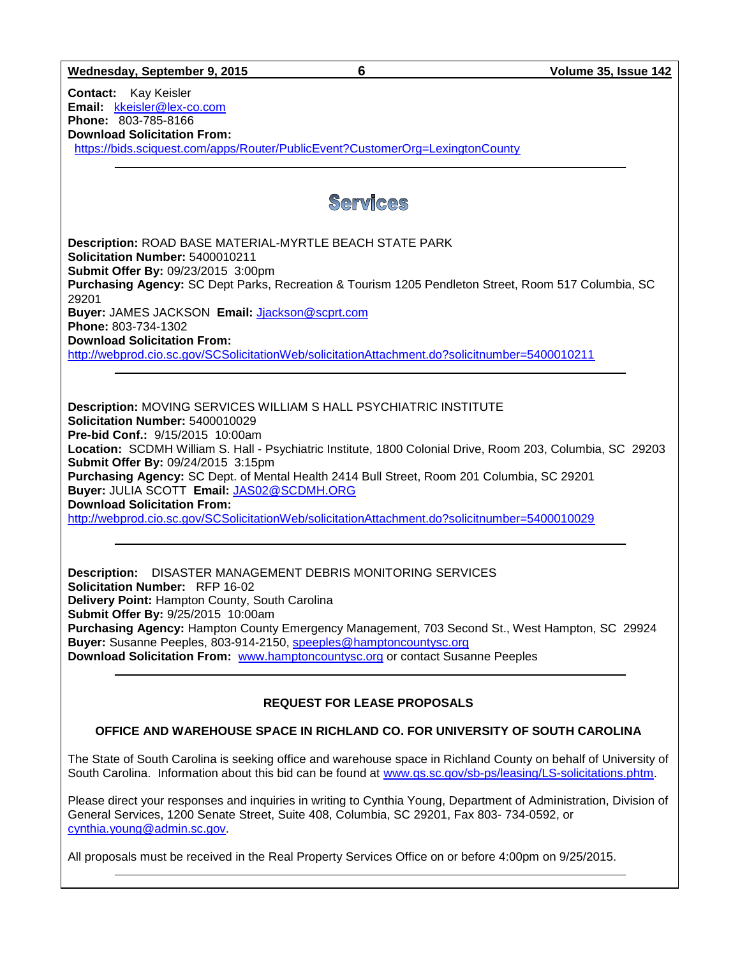**Wednesday, September 9, 2015 6 Volume 35, Issue 142 Contact:** Kay Keisler **Email:** [kkeisler@lex-co.com](mailto:kkeisler@lex-co.com) **Phone:** 803-785-8166 **Download Solicitation From:** <https://bids.sciquest.com/apps/Router/PublicEvent?CustomerOrg=LexingtonCounty> **Services Description:** ROAD BASE MATERIAL-MYRTLE BEACH STATE PARK **Solicitation Number:** 5400010211 **Submit Offer By:** 09/23/2015 3:00pm **Purchasing Agency:** SC Dept Parks, Recreation & Tourism 1205 Pendleton Street, Room 517 Columbia, SC 29201 **Buyer:** JAMES JACKSON **Email:** [Jjackson@scprt.com](mailto:Jjackson@scprt.com) **Phone:** 803-734-1302 **Download Solicitation From:**  <http://webprod.cio.sc.gov/SCSolicitationWeb/solicitationAttachment.do?solicitnumber=5400010211> **Description:** MOVING SERVICES WILLIAM S HALL PSYCHIATRIC INSTITUTE **Solicitation Number:** 5400010029 **Pre-bid Conf.:** 9/15/2015 10:00am **Location:** SCDMH William S. Hall - Psychiatric Institute, 1800 Colonial Drive, Room 203, Columbia, SC 29203 **Submit Offer By:** 09/24/2015 3:15pm **Purchasing Agency:** SC Dept. of Mental Health 2414 Bull Street, Room 201 Columbia, SC 29201 **Buyer:** JULIA SCOTT **Email:** [JAS02@SCDMH.ORG](mailto:JAS02@SCDMH.ORG) **Download Solicitation From:**  <http://webprod.cio.sc.gov/SCSolicitationWeb/solicitationAttachment.do?solicitnumber=5400010029> **Description:** DISASTER MANAGEMENT DEBRIS MONITORING SERVICES **Solicitation Number:** RFP 16-02 **Delivery Point:** Hampton County, South Carolina **Submit Offer By:** 9/25/2015 10:00am **Purchasing Agency:** Hampton County Emergency Management, 703 Second St., West Hampton, SC 29924 **Buyer:** Susanne Peeples, 803-914-2150, [speeples@hamptoncountysc.org](mailto:speeples@hamptoncountysc.org) **Download Solicitation From:** [www.hamptoncountysc.org](http://www.hamptoncountysc.org/) or contact Susanne Peeples

## **REQUEST FOR LEASE PROPOSALS**

### **OFFICE AND WAREHOUSE SPACE IN RICHLAND CO. FOR UNIVERSITY OF SOUTH CAROLINA**

The State of South Carolina is seeking office and warehouse space in Richland County on behalf of University of South Carolina. Information about this bid can be found at [www.gs.sc.gov/sb-ps/leasing/LS-solicitations.phtm.](http://www.gs.sc.gov/sb-ps/leasing/LS-solicitations.phtm)

Please direct your responses and inquiries in writing to Cynthia Young, Department of Administration, Division of General Services, 1200 Senate Street, Suite 408, Columbia, SC 29201, Fax 803- 734-0592, or [cynthia.young@admin.sc.gov.](mailto:cynthia.young@admin.sc.gov)

All proposals must be received in the Real Property Services Office on or before 4:00pm on 9/25/2015.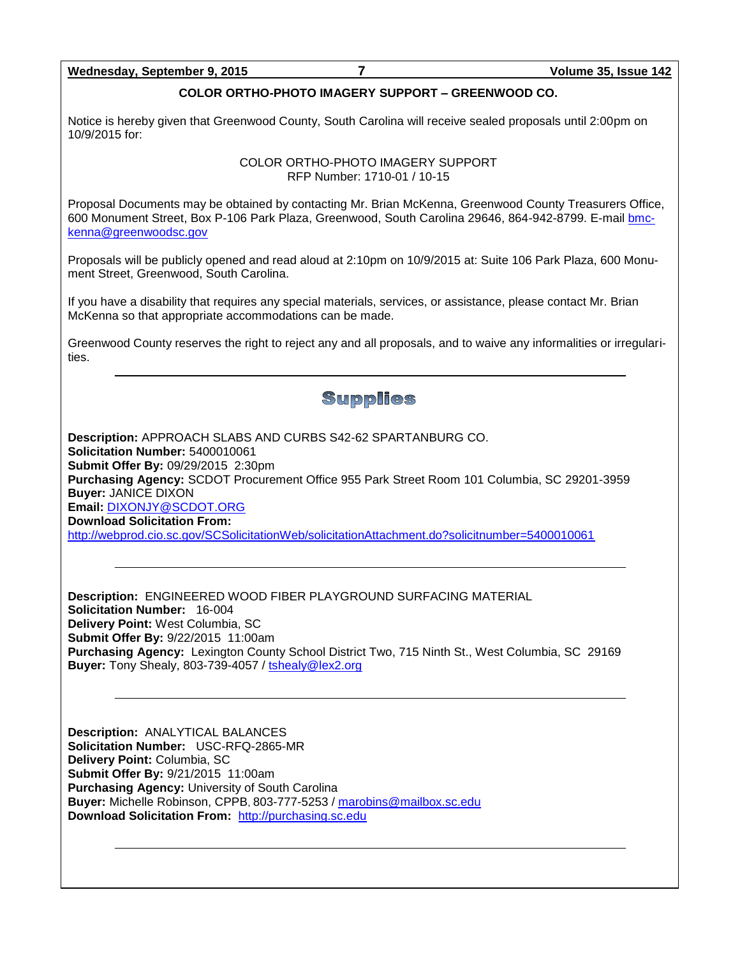#### **Wednesday, September 9, 2015 7 Volume 35, Issue 142**

#### **COLOR ORTHO-PHOTO IMAGERY SUPPORT – GREENWOOD CO.**

Notice is hereby given that Greenwood County, South Carolina will receive sealed proposals until 2:00pm on 10/9/2015 for:

> COLOR ORTHO-PHOTO IMAGERY SUPPORT RFP Number: 1710-01 / 10-15

Proposal Documents may be obtained by contacting Mr. Brian McKenna, Greenwood County Treasurers Office, 600 Monument Street, Box P-106 Park Plaza, Greenwood, South Carolina 29646, 864-942-8799. E-mai[l bmc](mailto:bmckenna@greenwoodsc.gov)[kenna@greenwoodsc.gov](mailto:bmckenna@greenwoodsc.gov)

Proposals will be publicly opened and read aloud at 2:10pm on 10/9/2015 at: Suite 106 Park Plaza, 600 Monument Street, Greenwood, South Carolina.

If you have a disability that requires any special materials, services, or assistance, please contact Mr. Brian McKenna so that appropriate accommodations can be made.

Greenwood County reserves the right to reject any and all proposals, and to waive any informalities or irregularities.

# **Supplies**

**Description:** APPROACH SLABS AND CURBS S42-62 SPARTANBURG CO. **Solicitation Number:** 5400010061 **Submit Offer By:** 09/29/2015 2:30pm **Purchasing Agency:** SCDOT Procurement Office 955 Park Street Room 101 Columbia, SC 29201-3959 **Buyer:** JANICE DIXON **Email:** [DIXONJY@SCDOT.ORG](mailto:DIXONJY@SCDOT.ORG) **Download Solicitation From:**  <http://webprod.cio.sc.gov/SCSolicitationWeb/solicitationAttachment.do?solicitnumber=5400010061>

**Description:** ENGINEERED WOOD FIBER PLAYGROUND SURFACING MATERIAL **Solicitation Number:** 16-004 **Delivery Point:** West Columbia, SC **Submit Offer By:** 9/22/2015 11:00am **Purchasing Agency:** Lexington County School District Two, 715 Ninth St., West Columbia, SC 29169 **Buyer:** Tony Shealy, 803-739-4057 / [tshealy@lex2.org](mailto:tshealy@lex2.org)

**Description:** ANALYTICAL BALANCES **Solicitation Number:** USC-RFQ-2865-MR **Delivery Point:** Columbia, SC **Submit Offer By:** 9/21/2015 11:00am **Purchasing Agency:** University of South Carolina **Buyer:** Michelle Robinson, CPPB, 803-777-5253 / [marobins@mailbox.sc.edu](mailto:marobins@mailbox.sc.edu) **Download Solicitation From:** [http://purchasing.sc.edu](http://purchasing.sc.edu/)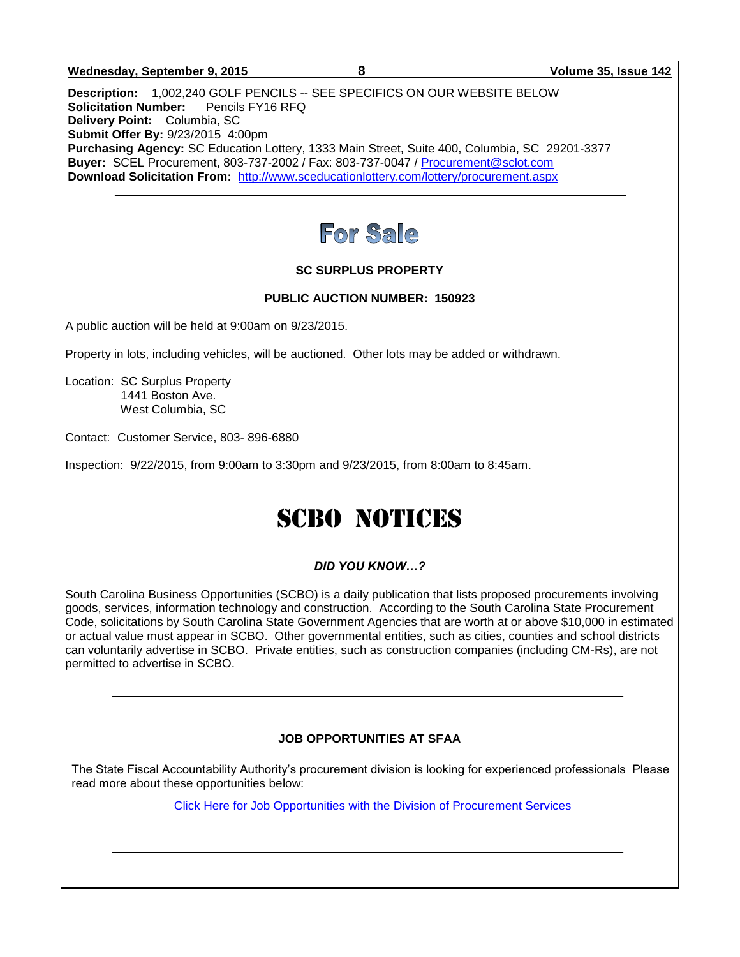#### **Wednesday, September 9, 2015 8 Volume 35, Issue 142**

**Description:** 1,002,240 GOLF PENCILS -- SEE SPECIFICS ON OUR WEBSITE BELOW **Solicitation Number:** Pencils FY16 RFQ **Delivery Point:** Columbia, SC **Submit Offer By:** 9/23/2015 4:00pm **Purchasing Agency:** SC Education Lottery, 1333 Main Street, Suite 400, Columbia, SC 29201-3377 **Buyer:** SCEL Procurement, 803-737-2002 / Fax: 803-737-0047 / [Procurement@sclot.com](mailto:Procurement@sclot.com) **Download Solicitation From:** <http://www.sceducationlottery.com/lottery/procurement.aspx>



#### **SC SURPLUS PROPERTY**

#### **PUBLIC AUCTION NUMBER: 150923**

A public auction will be held at 9:00am on 9/23/2015.

Property in lots, including vehicles, will be auctioned. Other lots may be added or withdrawn.

Location: SC Surplus Property 1441 Boston Ave. West Columbia, SC

Contact: Customer Service, 803- 896-6880

Inspection: 9/22/2015, from 9:00am to 3:30pm and 9/23/2015, from 8:00am to 8:45am.

# SCBO NOTICES

#### *DID YOU KNOW…?*

South Carolina Business Opportunities (SCBO) is a daily publication that lists proposed procurements involving goods, services, information technology and construction. According to the South Carolina State Procurement Code, solicitations by South Carolina State Government Agencies that are worth at or above \$10,000 in estimated or actual value must appear in SCBO. Other governmental entities, such as cities, counties and school districts can voluntarily advertise in SCBO. Private entities, such as construction companies (including CM-Rs), are not permitted to advertise in SCBO.

#### **JOB OPPORTUNITIES AT SFAA**

The State Fiscal Accountability Authority's procurement division is looking for experienced professionals Please read more about these opportunities below:

[Click Here for Job Opportunities with the Division of Procurement Services](http://procurement.sc.gov/webfiles/MMO_scbo/SCBO%20Online/SFAA_job_opportunities.pdf)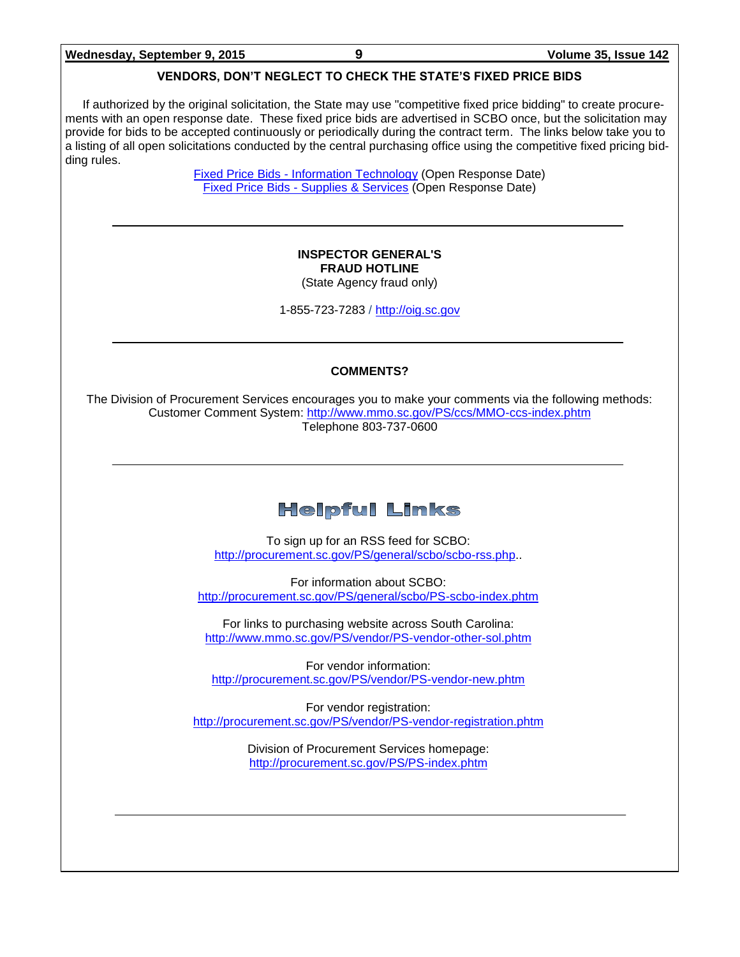#### **VENDORS, DON'T NEGLECT TO CHECK THE STATE'S FIXED PRICE BIDS**

If authorized by the original solicitation, the State may use "competitive fixed price bidding" to create procurements with an open response date. These fixed price bids are advertised in SCBO once, but the solicitation may provide for bids to be accepted continuously or periodically during the contract term. The links below take you to a listing of all open solicitations conducted by the central purchasing office using the competitive fixed pricing bidding rules.

> Fixed Price Bids - [Information Technology](http://www.mmo.sc.gov/PS/vendor/PS-vendor-fixed-price-bids-it.phtm) (Open Response Date) Fixed Price Bids - [Supplies & Services](http://www.mmo.sc.gov/PS/vendor/PS-vendor-fixed-price-bids-ss.phtm) (Open Response Date)

#### **INSPECTOR GENERAL'S FRAUD HOTLINE** (State Agency fraud only)

1-855-723-7283 / [http://oig.sc.gov](http://oig.sc.gov/)

#### **COMMENTS?**

The Division of Procurement Services encourages you to make your comments via the following methods: Customer Comment System:<http://www.mmo.sc.gov/PS/ccs/MMO-ccs-index.phtm> Telephone 803-737-0600

# **Helpful Links**

To sign up for an RSS feed for SCBO: [http://procurement.sc.gov/PS/general/scbo/scbo-rss.php.](http://procurement.sc.gov/PS/general/scbo/scbo-rss.php).

For information about SCBO: <http://procurement.sc.gov/PS/general/scbo/PS-scbo-index.phtm>

For links to purchasing website across South Carolina: <http://www.mmo.sc.gov/PS/vendor/PS-vendor-other-sol.phtm>

For vendor information: <http://procurement.sc.gov/PS/vendor/PS-vendor-new.phtm>

For vendor registration: <http://procurement.sc.gov/PS/vendor/PS-vendor-registration.phtm>

> Division of Procurement Services homepage: <http://procurement.sc.gov/PS/PS-index.phtm>